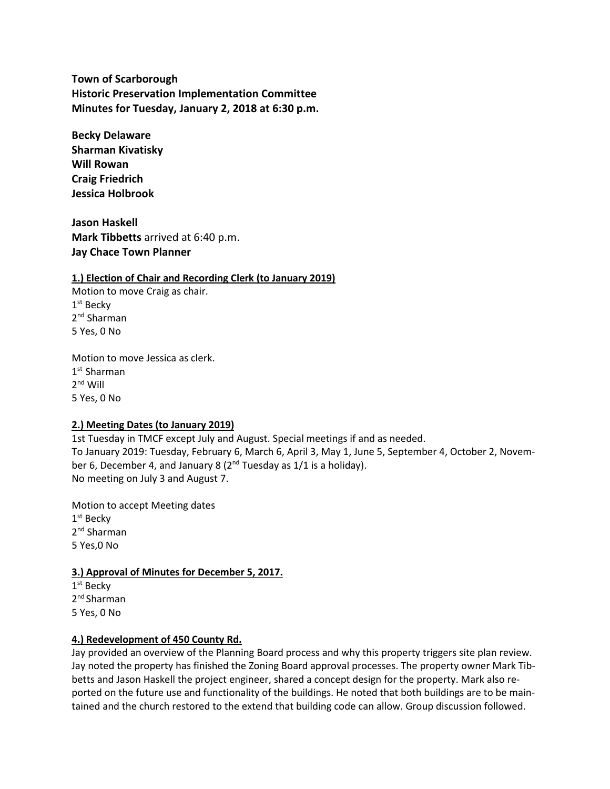**Town of Scarborough Historic Preservation Implementation Committee Minutes for Tuesday, January 2, 2018 at 6:30 p.m.**

**Becky Delaware Sharman Kivatisky Will Rowan Craig Friedrich Jessica Holbrook**

**Jason Haskell Mark Tibbetts** arrived at 6:40 p.m. **Jay Chace Town Planner**

#### **1.) Election of Chair and Recording Clerk (to January 2019)**

Motion to move Craig as chair. 1<sup>st</sup> Becky 2<sup>nd</sup> Sharman 5 Yes, 0 No

Motion to move Jessica as clerk. 1 st Sharman 2<sup>nd</sup> Will 5 Yes, 0 No

# **2.) Meeting Dates (to January 2019)**

1st Tuesday in TMCF except July and August. Special meetings if and as needed. To January 2019: Tuesday, February 6, March 6, April 3, May 1, June 5, September 4, October 2, November 6, December 4, and January 8  $(2^{nd}$  Tuesday as  $1/1$  is a holiday). No meeting on July 3 and August 7.

Motion to accept Meeting dates 1 st Becky 2<sup>nd</sup> Sharman 5 Yes,0 No

#### **3.) Approval of Minutes for December 5, 2017.**

1<sup>st</sup> Becky 2<sup>nd</sup> Sharman 5 Yes, 0 No

#### **4.) Redevelopment of 450 County Rd.**

Jay provided an overview of the Planning Board process and why this property triggers site plan review. Jay noted the property has finished the Zoning Board approval processes. The property owner Mark Tibbetts and Jason Haskell the project engineer, shared a concept design for the property. Mark also reported on the future use and functionality of the buildings. He noted that both buildings are to be maintained and the church restored to the extend that building code can allow. Group discussion followed.